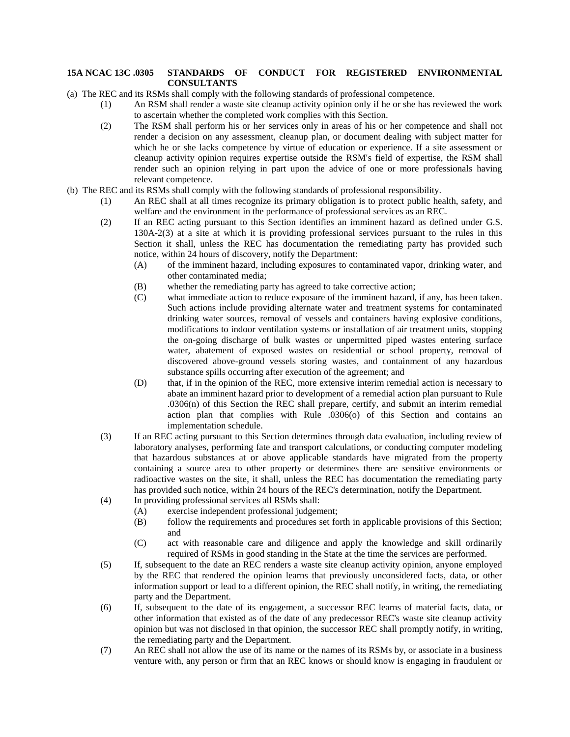## **15A NCAC 13C .0305 STANDARDS OF CONDUCT FOR REGISTERED ENVIRONMENTAL CONSULTANTS**

(a) The REC and its RSMs shall comply with the following standards of professional competence.

- (1) An RSM shall render a waste site cleanup activity opinion only if he or she has reviewed the work to ascertain whether the completed work complies with this Section.
- (2) The RSM shall perform his or her services only in areas of his or her competence and shall not render a decision on any assessment, cleanup plan, or document dealing with subject matter for which he or she lacks competence by virtue of education or experience. If a site assessment or cleanup activity opinion requires expertise outside the RSM's field of expertise, the RSM shall render such an opinion relying in part upon the advice of one or more professionals having relevant competence.
- (b) The REC and its RSMs shall comply with the following standards of professional responsibility.
	- (1) An REC shall at all times recognize its primary obligation is to protect public health, safety, and welfare and the environment in the performance of professional services as an REC.
	- (2) If an REC acting pursuant to this Section identifies an imminent hazard as defined under G.S. 130A-2(3) at a site at which it is providing professional services pursuant to the rules in this Section it shall, unless the REC has documentation the remediating party has provided such notice, within 24 hours of discovery, notify the Department:
		- (A) of the imminent hazard, including exposures to contaminated vapor, drinking water, and other contaminated media;
		- (B) whether the remediating party has agreed to take corrective action;
		- (C) what immediate action to reduce exposure of the imminent hazard, if any, has been taken. Such actions include providing alternate water and treatment systems for contaminated drinking water sources, removal of vessels and containers having explosive conditions, modifications to indoor ventilation systems or installation of air treatment units, stopping the on-going discharge of bulk wastes or unpermitted piped wastes entering surface water, abatement of exposed wastes on residential or school property, removal of discovered above-ground vessels storing wastes, and containment of any hazardous substance spills occurring after execution of the agreement; and
		- (D) that, if in the opinion of the REC, more extensive interim remedial action is necessary to abate an imminent hazard prior to development of a remedial action plan pursuant to Rule .0306(n) of this Section the REC shall prepare, certify, and submit an interim remedial action plan that complies with Rule .0306(o) of this Section and contains an implementation schedule.
	- (3) If an REC acting pursuant to this Section determines through data evaluation, including review of laboratory analyses, performing fate and transport calculations, or conducting computer modeling that hazardous substances at or above applicable standards have migrated from the property containing a source area to other property or determines there are sensitive environments or radioactive wastes on the site, it shall, unless the REC has documentation the remediating party has provided such notice, within 24 hours of the REC's determination, notify the Department.
	- (4) In providing professional services all RSMs shall:
		- (A) exercise independent professional judgement;
		- (B) follow the requirements and procedures set forth in applicable provisions of this Section; and
		- (C) act with reasonable care and diligence and apply the knowledge and skill ordinarily required of RSMs in good standing in the State at the time the services are performed.
	- (5) If, subsequent to the date an REC renders a waste site cleanup activity opinion, anyone employed by the REC that rendered the opinion learns that previously unconsidered facts, data, or other information support or lead to a different opinion, the REC shall notify, in writing, the remediating party and the Department.
	- (6) If, subsequent to the date of its engagement, a successor REC learns of material facts, data, or other information that existed as of the date of any predecessor REC's waste site cleanup activity opinion but was not disclosed in that opinion, the successor REC shall promptly notify, in writing, the remediating party and the Department.
	- (7) An REC shall not allow the use of its name or the names of its RSMs by, or associate in a business venture with, any person or firm that an REC knows or should know is engaging in fraudulent or